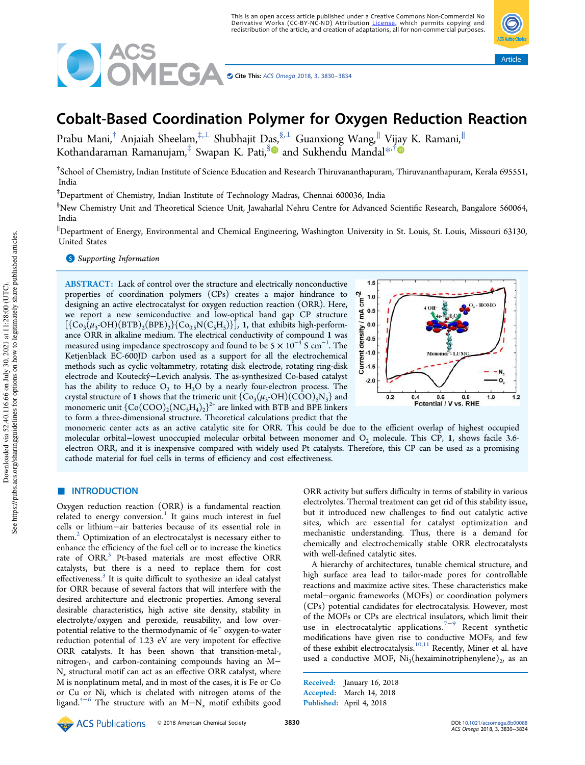

# Cobalt-Based Coordination Polymer for Oxygen Reduction Reaction

Prabu Mani,<sup>†</sup> Anjaiah Sheelam,<sup>‡,⊥</sup> Shubhajit Das,<sup>§,⊥</sup> Guanxiong Wang,<sup>∥</sup> Vijay K. Ramani,<sup>∥</sup> Kothandaraman Ramanujam,<sup>‡</sup> Swapan K. Pati,<sup>§</sup>® and Sukhendu Mandal<sup>\*,†</sup>

† School of Chemistry, Indian Institute of Science Education and Research Thiruvananthapuram, Thiruvananthapuram, Kerala 695551, India

‡Department of Chemistry, Indian Institute of Technology Madras, Chennai 600036, India

§New Chemistry Unit and Theoretical Science Unit, Jawaharlal Nehru Centre for Advanced Scientific Research, Bangalore 560064, India

<sup>∥</sup>Department of Energy, Environmental and Chemical Engineering, Washington University in St. Louis, St. Louis, Missouri 63130, United States

**S** Supporting Information

ABSTRACT: Lack of control over the structure and electrically nonconductive properties of coordination polymers (CPs) creates a major hindrance to designing an active electrocatalyst for oxygen reduction reaction (ORR). Here, we report a new semiconductive and low-optical band gap CP structure  $[\{Co_3(\mu_3\text{-}OH)(BTB)_2(BPE)_2\} \{Co_{0.5}N(C_5H_5)\}]$ , 1, that exhibits high-performance ORR in alkaline medium. The electrical conductivity of compound 1 was measured using impedance spectroscopy and found to be 5  $\times$  10<sup>-4</sup> S cm $^{-1}$ . The Ketjenblack EC-600JD carbon used as a support for all the electrochemical methods such as cyclic voltammetry, rotating disk electrode, rotating ring-disk electrode and Koutecký–Levich analysis. The as-synthesized Co-based catalyst has the ability to reduce  $O_2$  to  $H_2O$  by a nearly four-electron process. The crystal structure of 1 shows that the trimeric unit  $\{Co_3(\mu_3\text{-}OH)(COO)_5N_3\}$  and monomeric unit  $\{{\rm Co(COO)_2(NC_5H_4)_2}\}^{2+}$  are linked with BTB and BPE linkers to form a three-dimensional structure. Theoretical calculations predict that the



Article

monomeric center acts as an active catalytic site for ORR. This could be due to the efficient overlap of highest occupied molecular orbital–lowest unoccupied molecular orbital between monomer and O<sub>2</sub> molecule. This CP, 1, shows facile 3.6electron ORR, and it is inexpensive compared with widely used Pt catalysts. Therefore, this CP can be used as a promising cathode material for fuel cells in terms of efficiency and cost effectiveness.

# ■ INTRODUCTION

Oxygen reduction reaction (ORR) is a fundamental reaction related to energy conversion.<sup>1</sup> It gains much interest in fuel cells or lithium−air batteries because of its essential role in them.<sup>2</sup> Optimization of an electrocatalyst is necessary either to enhance the efficiency of the fuel cell or to increase the kinetics rate of ORR.<sup>3</sup> Pt-based materials are most effective ORR catalysts, but there is a need to replace them for cost effectiveness.<sup>3</sup> It is quite difficult to synthesize an ideal catalyst for ORR because of several factors that will interfere with the desired architecture and electronic properties. Among several desirable characteristics, high active site density, stability in electrolyte/oxygen and peroxide, reusability, and low overpotential relative to the thermodynamic of 4e<sup>−</sup> oxygen-to-water reduction potential of 1.23 eV are very impotent for effective ORR catalysts. It has been shown that transition-metal-, nitrogen-, and carbon-containing compounds having an M− N*x* structural motif can act as an effective ORR catalyst, where M is nonplatinum metal, and in most of the cases, it is Fe or Co or Cu or Ni, which is chelated with nitrogen atoms of the ligand.4−<sup>6</sup> The structure with an M−N*<sup>x</sup>* motif exhibits good

ORR activity but suffers difficulty in terms of stability in various electrolytes. Thermal treatment can get rid of this stability issue, but it introduced new challenges to find out catalytic active sites, which are essential for catalyst optimization and mechanistic understanding. Thus, there is a demand for chemically and electrochemically stable ORR electrocatalysts with well-defined catalytic sites.

A hierarchy of architectures, tunable chemical structure, and high surface area lead to tailor-made pores for controllable reactions and maximize active sites. These characteristics make metal−organic frameworks (MOFs) or coordination polymers (CPs) potential candidates for electrocatalysis. However, most of the MOFs or CPs are electrical insulators, which limit their use in electrocatalytic applications.7−<sup>9</sup> Recent synthetic modifications have given rise to conductive MOFs, and few of these exhibit electrocatalysis.<sup>10,11</sup> Recently, Miner et al. have used a conductive MOF,  $Ni<sub>3</sub>(hexaiminotriphenylene)<sub>2</sub>$ , as an

Received: January 16, 2018 Accepted: March 14, 2018 Published: April 4, 2018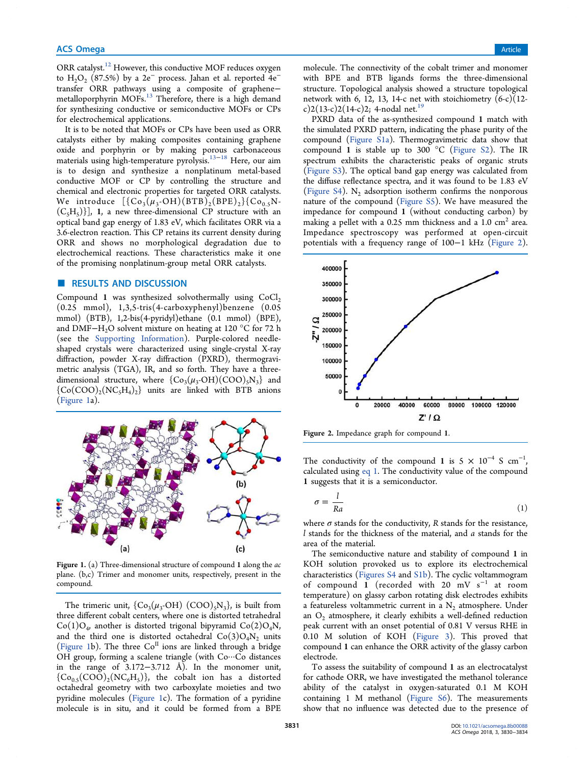ORR catalyst.<sup>12</sup> However, this conductive MOF reduces oxygen to  $H_2O_2$  (87.5%) by a 2e<sup>−</sup> process. Jahan et al. reported 4e<sup>−</sup> transfer ORR pathways using a composite of graphene− metalloporphyrin MOFs.<sup>13</sup> Therefore, there is a high demand for synthesizing conductive or semiconductive MOFs or CPs for electrochemical applications.

It is to be noted that MOFs or CPs have been used as ORR catalysts either by making composites containing graphene oxide and porphyrin or by making porous carbonaceous materials using high-temperature pyrolysis.13−<sup>18</sup> Here, our aim is to design and synthesize a nonplatinum metal-based conductive MOF or CP by controlling the structure and chemical and electronic properties for targeted ORR catalysts. We introduce  $[\{Co_3(\mu_3\text{-OH})(\text{BTB})_2(\text{BPE})_2\}\{Co_{0.5}\}$ N- $(C_5H_5)$ ], 1, a new three-dimensional CP structure with an optical band gap energy of 1.83 eV, which facilitates ORR via a 3.6-electron reaction. This CP retains its current density during ORR and shows no morphological degradation due to electrochemical reactions. These characteristics make it one of the promising nonplatinum-group metal ORR catalysts.

# ■ RESULTS AND DISCUSSION

Compound 1 was synthesized solvothermally using  $CoCl<sub>2</sub>$ (0.25 mmol), 1,3,5-tris(4-carboxyphenyl)benzene (0.05 mmol) (BTB), 1,2-bis(4-pyridyl)ethane (0.1 mmol) (BPE), and DMF−H2O solvent mixture on heating at 120 °C for 72 h (see the Supporting Information). Purple-colored needleshaped crystals were characterized using single-crystal X-ray diffraction, powder X-ray diffraction (PXRD), thermogravimetric analysis (TGA), IR, and so forth. They have a threedimensional structure, where  ${Co<sub>3</sub>(\mu<sub>3</sub>-OH)(COO)<sub>5</sub>N<sub>3</sub>}$  and  ${({\rm Co}({\rm COO})_2({\rm NC}_5{\rm H}_4)_2}$  units are linked with BTB anions (Figure 1a).



Figure 1. (a) Three-dimensional structure of compound 1 along the *ac* plane. (b,c) Trimer and monomer units, respectively, present in the compound.

The trimeric unit,  $\{Co_3(\mu_3\text{-}OH) (COO)_5N_3\}$ , is built from three different cobalt centers, where one is distorted tetrahedral  $Co(1)O_4$ , another is distorted trigonal bipyramid  $Co(2)O_4N$ , and the third one is distorted octahedral  $Co(3)O<sub>4</sub>N<sub>2</sub>$  units (Figure 1b). The three  $Co<sup>H</sup>$  ions are linked through a bridge OH group, forming a scalene triangle (with Co···Co distances in the range of 3.172−3.712 Å). In the monomer unit,  ${({\rm Co}_{0.5}({\rm COO})_2({\rm NC}_6 {\rm H}_5)}$ , the cobalt ion has a distorted octahedral geometry with two carboxylate moieties and two pyridine molecules (Figure 1c). The formation of a pyridine molecule is in situ, and it could be formed from a BPE

molecule. The connectivity of the cobalt trimer and monomer with BPE and BTB ligands forms the three-dimensional structure. Topological analysis showed a structure topological network with 6, 12, 13, 14-c net with stoichiometry  $(6-c)(12-c)$ c)2(13-c)2(14-c)2; 4-nodal net.<sup>19</sup>

PXRD data of the as-synthesized compound 1 match with the simulated PXRD pattern, indicating the phase purity of the compound (Figure S1a). Thermogravimetric data show that compound 1 is stable up to 300  $^{\circ}$ C (Figure S2). The IR spectrum exhibits the characteristic peaks of organic struts (Figure S3). The optical band gap energy was calculated from the diffuse reflectance spectra, and it was found to be 1.83 eV (Figure S4).  $N_2$  adsorption isotherm confirms the nonporous nature of the compound (Figure S5). We have measured the impedance for compound 1 (without conducting carbon) by making a pellet with a 0.25 mm thickness and a  $1.0\ \mathrm{cm^2}$  area. Impedance spectroscopy was performed at open-circuit potentials with a frequency range of 100−1 kHz (Figure 2).



Figure 2. Impedance graph for compound 1.

The conductivity of the compound 1 is  $5 \times 10^{-4}$  S cm<sup>-1</sup> , calculated using eq 1. The conductivity value of the compound 1 suggests that it is a semiconductor.

$$
\sigma = \frac{l}{Ra} \tag{1}
$$

where  $\sigma$  stands for the conductivity,  $R$  stands for the resistance, *l* stands for the thickness of the material, and *a* stands for the area of the material.

The semiconductive nature and stability of compound 1 in KOH solution provoked us to explore its electrochemical characteristics (Figures S4 and S1b). The cyclic voltammogram of compound 1 (recorded with 20 mV s<sup>−</sup><sup>1</sup> at room temperature) on glassy carbon rotating disk electrodes exhibits a featureless voltammetric current in a  $N_2$  atmosphere. Under an  $O_2$  atmosphere, it clearly exhibits a well-defined reduction peak current with an onset potential of 0.81 V versus RHE in 0.10 M solution of KOH (Figure 3). This proved that compound 1 can enhance the ORR activity of the glassy carbon electrode.

To assess the suitability of compound 1 as an electrocatalyst for cathode ORR, we have investigated the methanol tolerance ability of the catalyst in oxygen-saturated 0.1 M KOH containing 1 M methanol (Figure S6). The measurements show that no influence was detected due to the presence of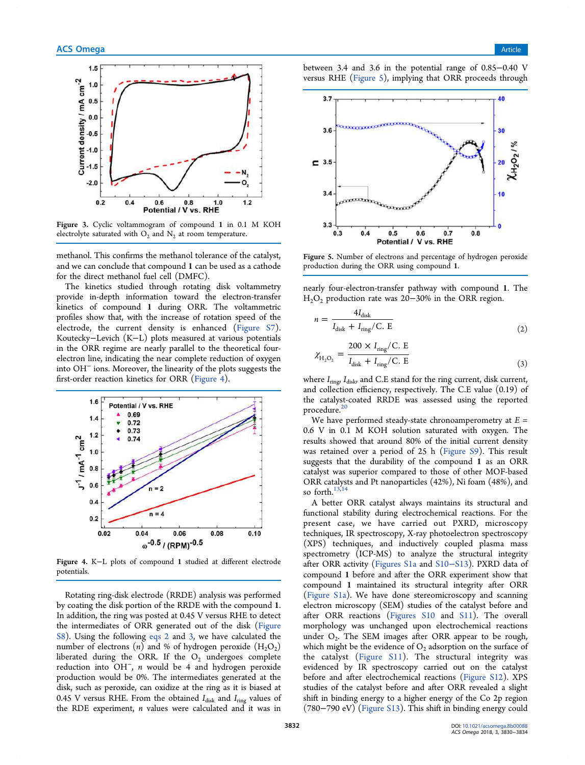

Figure 3. Cyclic voltammogram of compound 1 in 0.1 M KOH electrolyte saturated with  $O_2$  and  $N_2$  at room temperature.

methanol. This confirms the methanol tolerance of the catalyst, and we can conclude that compound 1 can be used as a cathode for the direct methanol fuel cell (DMFC).

The kinetics studied through rotating disk voltammetry provide in-depth information toward the electron-transfer kinetics of compound 1 during ORR. The voltammetric profiles show that, with the increase of rotation speed of the electrode, the current density is enhanced (Figure S7). Koutecky−Levich (K−L) plots measured at various potentials in the ORR regime are nearly parallel to the theoretical fourelectron line, indicating the near complete reduction of oxygen into OH<sup>−</sup> ions. Moreover, the linearity of the plots suggests the first-order reaction kinetics for ORR (Figure 4).



Figure 4. K−L plots of compound 1 studied at different electrode potentials.

Rotating ring-disk electrode (RRDE) analysis was performed by coating the disk portion of the RRDE with the compound 1. In addition, the ring was posted at 0.45 V versus RHE to detect the intermediates of ORR generated out of the disk (Figure S8). Using the following eqs 2 and 3, we have calculated the number of electrons  $(n)$  and % of hydrogen peroxide  $(H_2O_2)$ liberated during the ORR. If the  $O_2$  undergoes complete reduction into OH<sup>−</sup> , *n* would be 4 and hydrogen peroxide production would be 0%. The intermediates generated at the disk, such as peroxide, can oxidize at the ring as it is biased at 0.45 V versus RHE. From the obtained  $I_{\text{disk}}$  and  $I_{\text{ring}}$  values of the RDE experiment, *n* values were calculated and it was in

between 3.4 and 3.6 in the potential range of 0.85−0.40 V versus RHE (Figure 5), implying that ORR proceeds through



Figure 5. Number of electrons and percentage of hydrogen peroxide production during the ORR using compound 1.

nearly four-electron-transfer pathway with compound 1. The  $H<sub>2</sub>O<sub>2</sub>$  production rate was 20−30% in the ORR region.

$$
n = \frac{4I_{\text{disk}}}{I_{\text{disk}} + I_{\text{ring}}/C. E}
$$
 (2)

$$
\chi_{\text{H}_2\text{O}_2} = \frac{200 \times I_{\text{ring}} / \text{C. E}}{I_{\text{disk}} + I_{\text{ring}} / \text{C. E}}
$$
(3)

where  $I_{\text{ring}}$ ,  $I_{\text{disk}}$ , and C.E stand for the ring current, disk current, and collection efficiency, respectively. The C.E value (0.19) of the catalyst-coated RRDE was assessed using the reported procedure. $20$ 

We have performed steady-state chronoamperometry at *E* = 0.6 V in 0.1 M KOH solution saturated with oxygen. The results showed that around 80% of the initial current density was retained over a period of 25 h (Figure S9). This result suggests that the durability of the compound 1 as an ORR catalyst was superior compared to those of other MOF-based ORR catalysts and Pt nanoparticles (42%), Ni foam (48%), and so forth. $13,14$ 

A better ORR catalyst always maintains its structural and functional stability during electrochemical reactions. For the present case, we have carried out PXRD, microscopy techniques, IR spectroscopy, X-ray photoelectron spectroscopy (XPS) techniques, and inductively coupled plasma mass spectrometry (ICP-MS) to analyze the structural integrity after ORR activity (Figures S1a and S10−S13). PXRD data of compound 1 before and after the ORR experiment show that compound 1 maintained its structural integrity after ORR (Figure S1a). We have done stereomicroscopy and scanning electron microscopy (SEM) studies of the catalyst before and after ORR reactions (Figures S10 and S11). The overall morphology was unchanged upon electrochemical reactions under  $O_2$ . The SEM images after ORR appear to be rough, which might be the evidence of  $O_2$  adsorption on the surface of the catalyst (Figure S11). The structural integrity was evidenced by IR spectroscopy carried out on the catalyst before and after electrochemical reactions (Figure S12). XPS studies of the catalyst before and after ORR revealed a slight shift in binding energy to a higher energy of the Co 2p region (780−790 eV) (Figure S13). This shift in binding energy could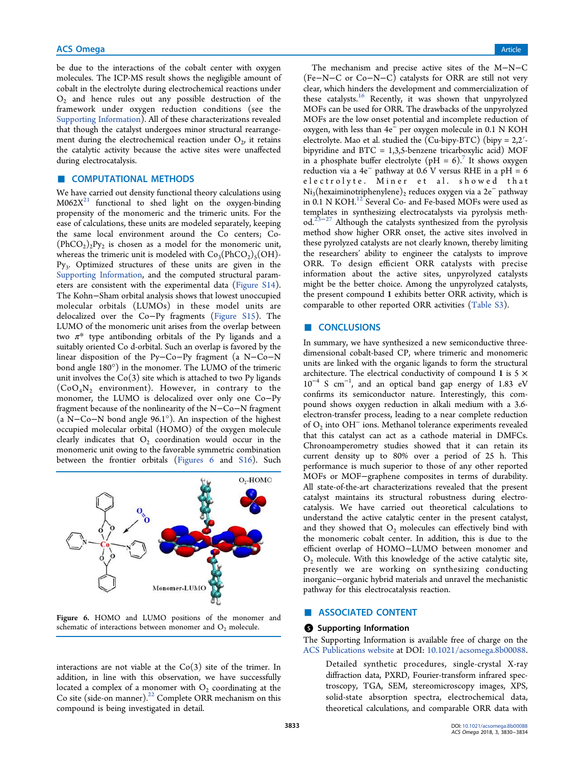be due to the interactions of the cobalt center with oxygen molecules. The ICP-MS result shows the negligible amount of cobalt in the electrolyte during electrochemical reactions under  $O_2$  and hence rules out any possible destruction of the framework under oxygen reduction conditions (see the Supporting Information). All of these characterizations revealed that though the catalyst undergoes minor structural rearrangement during the electrochemical reaction under  $O_{\mathcal{D}}$  it retains the catalytic activity because the active sites were unaffected during electrocatalysis.

## **E** COMPUTATIONAL METHODS

We have carried out density functional theory calculations using  $M062X<sup>21</sup>$  functional to shed light on the oxygen-binding propensity of the monomeric and the trimeric units. For the ease of calculations, these units are modeled separately, keeping the same local environment around the Co centers; Co-  $(PhCO<sub>2</sub>)<sub>2</sub>Py<sub>2</sub>$  is chosen as a model for the monomeric unit, whereas the trimeric unit is modeled with  $Co_3(PhCO_2)_5(OH)$ -Py<sub>3</sub>. Optimized structures of these units are given in the Supporting Information, and the computed structural parameters are consistent with the experimental data (Figure S14). The Kohn−Sham orbital analysis shows that lowest unoccupied molecular orbitals (LUMOs) in these model units are delocalized over the Co−Py fragments (Figure S15). The LUMO of the monomeric unit arises from the overlap between two  $\pi^*$  type antibonding orbitals of the Py ligands and a suitably oriented Co d-orbital. Such an overlap is favored by the linear disposition of the Py−Co−Py fragment (a N−Co−N bond angle 180°) in the monomer. The LUMO of the trimeric unit involves the  $Co(3)$  site which is attached to two Py ligands  $(CoO<sub>4</sub>N<sub>2</sub>$  environment). However, in contrary to the monomer, the LUMO is delocalized over only one Co−Py fragment because of the nonlinearity of the N−Co−N fragment (a N−Co−N bond angle 96.1°). An inspection of the highest occupied molecular orbital (HOMO) of the oxygen molecule clearly indicates that  $O_2$  coordination would occur in the monomeric unit owing to the favorable symmetric combination between the frontier orbitals (Figures 6 and S16). Such



Figure 6. HOMO and LUMO positions of the monomer and schematic of interactions between monomer and  $O<sub>2</sub>$  molecule.

interactions are not viable at the  $Co(3)$  site of the trimer. In addition, in line with this observation, we have successfully located a complex of a monomer with  $O_2$  coordinating at the Co site (side-on manner).<sup>22</sup> Complete ORR mechanism on this compound is being investigated in detail.

The mechanism and precise active sites of the M−N−C (Fe−N−C or Co−N−C) catalysts for ORR are still not very clear, which hinders the development and commercialization of these catalysts.<sup>16</sup> Recently, it was shown that unpyrolyzed MOFs can be used for ORR. The drawbacks of the unpyrolyzed MOFs are the low onset potential and incomplete reduction of oxygen, with less than 4e<sup>−</sup> per oxygen molecule in 0.1 N KOH electrolyte. Mao et al. studied the (Cu-bipy-BTC) (bipy = 2,2′ bipyridine and BTC = 1,3,5-benzene tricarboxylic acid) MOF in a phosphate buffer electrolyte (pH = 6).<sup>7</sup> It shows oxygen reduction via a 4e<sup>−</sup> pathway at 0.6 V versus RHE in a pH = 6 electrolyte. Miner et al. showed that Ni<sub>3</sub>(hexaiminotriphenylene)<sub>2</sub> reduces oxygen via a 2e<sup>−</sup> pathway in 0.1 N KOH.<sup>12</sup> Several Co- and Fe-based MOFs were used as templates in synthesizing electrocatalysts via pyrolysis method.<sup>23−27</sup> Although the catalysts synthesized from the pyrolysis method show higher ORR onset, the active sites involved in these pyrolyzed catalysts are not clearly known, thereby limiting the researchers' ability to engineer the catalysts to improve ORR. To design efficient ORR catalysts with precise information about the active sites, unpyrolyzed catalysts might be the better choice. Among the unpyrolyzed catalysts, the present compound 1 exhibits better ORR activity, which is comparable to other reported ORR activities (Table S3).

## ■ CONCLUSIONS

In summary, we have synthesized a new semiconductive threedimensional cobalt-based CP, where trimeric and monomeric units are linked with the organic ligands to form the structural architecture. The electrical conductivity of compound 1 is  $5 \times$ 10<sup>−</sup><sup>4</sup> S cm<sup>−</sup><sup>1</sup> , and an optical band gap energy of 1.83 eV confirms its semiconductor nature. Interestingly, this compound shows oxygen reduction in alkali medium with a 3.6 electron-transfer process, leading to a near complete reduction of O<sup>2</sup> into OH<sup>−</sup> ions. Methanol tolerance experiments revealed that this catalyst can act as a cathode material in DMFCs. Chronoamperometry studies showed that it can retain its current density up to 80% over a period of 25 h. This performance is much superior to those of any other reported MOFs or MOF−graphene composites in terms of durability. All state-of-the-art characterizations revealed that the present catalyst maintains its structural robustness during electrocatalysis. We have carried out theoretical calculations to understand the active catalytic center in the present catalyst, and they showed that  $O_2$  molecules can effectively bind with the monomeric cobalt center. In addition, this is due to the efficient overlap of HOMO−LUMO between monomer and  $O<sub>2</sub>$  molecule. With this knowledge of the active catalytic site, presently we are working on synthesizing conducting inorganic−organic hybrid materials and unravel the mechanistic pathway for this electrocatalysis reaction.

## ASSOCIATED CONTENT

#### **S** Supporting Information

The Supporting Information is available free of charge on the ACS Publications website at DOI: 10.1021/acsomega.8b00088.

Detailed synthetic procedures, single-crystal X-ray diffraction data, PXRD, Fourier-transform infrared spectroscopy, TGA, SEM, stereomicroscopy images, XPS, solid-state absorption spectra, electrochemical data, theoretical calculations, and comparable ORR data with